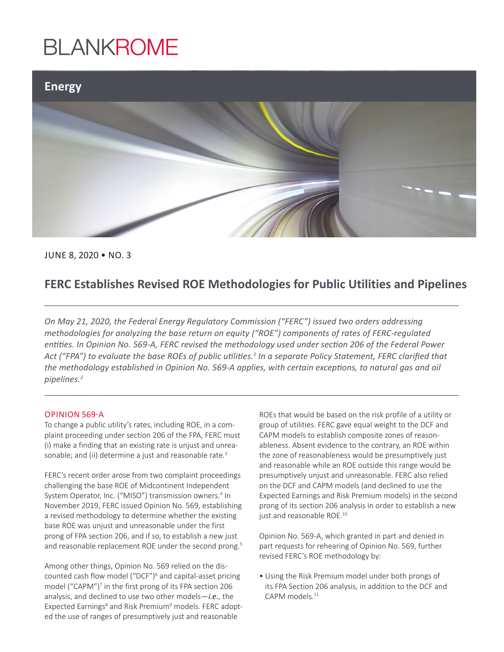### **BLANKROME**



JUNE 8, 2020 • NO. 3

### **FERC Establishes Revised ROE Methodologies for Public Utilities and Pipelines**

*On May 21, 2020, the Federal Energy Regulatory Commission ("FERC") issued two orders addressing methodologies for analyzing the base return on equity ("ROE") components of rates of FERC-regulated entities. In Opinion No. 569-A, FERC revised the methodology used under section 206 of the Federal Power Act ("FPA") to evaluate the base ROEs of public utilities.<sup>1</sup> In a separate Policy Statement, FERC clarified that the methodology established in Opinion No. 569-A applies, with certain exceptions, to natural gas and oil pipelines.2*

#### OPINION 569-A

To change a public utility's rates, including ROE, in a complaint proceeding under section 206 of the FPA, FERC must (i) make a finding that an existing rate is unjust and unreasonable; and (ii) determine a just and reasonable rate.<sup>3</sup>

FERC's recent order arose from two complaint proceedings challenging the base ROE of Midcontinent Independent System Operator, Inc. ("MISO") transmission owners.<sup>4</sup> In November 2019, FERC issued Opinion No. 569, establishing a revised methodology to determine whether the existing base ROE was unjust and unreasonable under the first prong of FPA section 206, and if so, to establish a new just and reasonable replacement ROE under the second prong.<sup>5</sup>

Among other things, Opinion No. 569 relied on the discounted cash flow model ("DCF")<sup>6</sup> and capital-asset pricing model ("CAPM")<sup>7</sup> in the first prong of its FPA section 206 analysis, and declined to use two other models—*i.e.*, the Expected Earnings<sup>8</sup> and Risk Premium<sup>9</sup> models. FERC adopted the use of ranges of presumptively just and reasonable

ROEs that would be based on the risk profile of a utility or group of utilities. FERC gave equal weight to the DCF and CAPM models to establish composite zones of reasonableness. Absent evidence to the contrary, an ROE within the zone of reasonableness would be presumptively just and reasonable while an ROE outside this range would be presumptively unjust and unreasonable. FERC also relied on the DCF and CAPM models (and declined to use the Expected Earnings and Risk Premium models) in the second prong of its section 206 analysis in order to establish a new just and reasonable ROE.<sup>10</sup>

Opinion No. 569-A, which granted in part and denied in part requests for rehearing of Opinion No. 569, further revised FERC's ROE methodology by:

• Using the Risk Premium model under both prongs of its FPA Section 206 analysis, in addition to the DCF and CAPM models<sup>11</sup>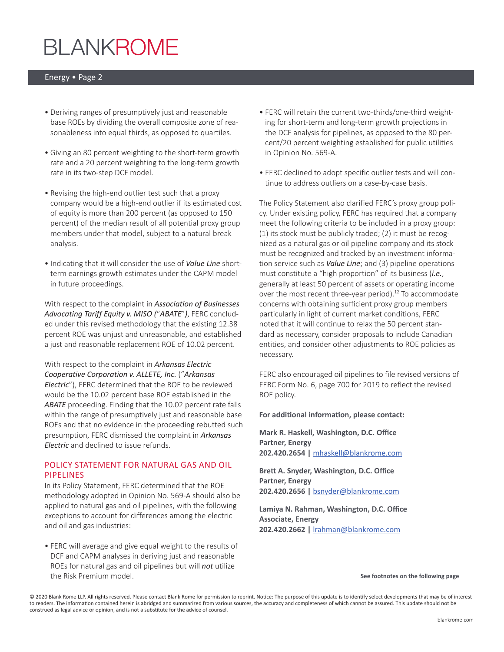# **BLANKROME**

#### Energy • Page 2

- Deriving ranges of presumptively just and reasonable base ROEs by dividing the overall composite zone of reasonableness into equal thirds, as opposed to quartiles.
- Giving an 80 percent weighting to the short-term growth rate and a 20 percent weighting to the long-term growth rate in its two-step DCF model.
- Revising the high-end outlier test such that a proxy company would be a high-end outlier if its estimated cost of equity is more than 200 percent (as opposed to 150 percent) of the median result of all potential proxy group members under that model, subject to a natural break analysis.
- Indicating that it will consider the use of *Value Line* shortterm earnings growth estimates under the CAPM model in future proceedings.

With respect to the complaint in *Association of Businesses Advocating Tariff Equity v. MISO (*"*ABATE*"*)*, FERC concluded under this revised methodology that the existing 12.38 percent ROE was unjust and unreasonable, and established a just and reasonable replacement ROE of 10.02 percent.

With respect to the complaint in *Arkansas Electric Cooperative Corporation v. ALLETE, Inc.* ("*Arkansas Electric*"), FERC determined that the ROE to be reviewed would be the 10.02 percent base ROE established in the *ABATE* proceeding. Finding that the 10.02 percent rate falls within the range of presumptively just and reasonable base ROEs and that no evidence in the proceeding rebutted such presumption, FERC dismissed the complaint in *Arkansas Electric* and declined to issue refunds.

#### POLICY STATEMENT FOR NATURAL GAS AND OIL PIPELINES

In its Policy Statement, FERC determined that the ROE methodology adopted in Opinion No. 569-A should also be applied to natural gas and oil pipelines, with the following exceptions to account for differences among the electric and oil and gas industries:

• FERC will average and give equal weight to the results of DCF and CAPM analyses in deriving just and reasonable ROEs for natural gas and oil pipelines but will *not* utilize the Risk Premium model.

- FERC will retain the current two-thirds/one-third weighting for short-term and long-term growth projections in the DCF analysis for pipelines, as opposed to the 80 percent/20 percent weighting established for public utilities in Opinion No. 569-A.
- FERC declined to adopt specific outlier tests and will continue to address outliers on a case-by-case basis.

The Policy Statement also clarified FERC's proxy group policy. Under existing policy, FERC has required that a company meet the following criteria to be included in a proxy group: (1) its stock must be publicly traded; (2) it must be recognized as a natural gas or oil pipeline company and its stock must be recognized and tracked by an investment information service such as *Value Line*; and (3) pipeline operations must constitute a "high proportion" of its business (*i.e.*, generally at least 50 percent of assets or operating income over the most recent three-year period).<sup>12</sup> To accommodate concerns with obtaining sufficient proxy group members particularly in light of current market conditions, FERC noted that it will continue to relax the 50 percent standard as necessary, consider proposals to include Canadian entities, and consider other adjustments to ROE policies as necessary.

FERC also encouraged oil pipelines to file revised versions of FERC Form No. 6, page 700 for 2019 to reflect the revised ROE policy.

**For additional information, please contact:** 

**Mark R. Haskell, Washington, D.C. Office Partner, Energy 202.420.2654 |** [mhaskell@blankrome.com](mailto:mhaskell@blankrome.com)

**Brett A. Snyder, Washington, D.C. Office Partner, Energy 202.420.2656 |** [bsnyder@blankrome.com](mailto:bsnyder@blankrome.com)

**Lamiya N. Rahman, Washington, D.C. Office Associate, Energy 202.420.2662 |** [lrahman@blankrome.com](mailto:lrahman@blankrome.com)

**See footnotes on the following page**

© 2020 Blank Rome LLP. All rights reserved. Please contact Blank Rome for permission to reprint. Notice: The purpose of this update is to identify select developments that may be of interest to readers. The information contained herein is abridged and summarized from various sources, the accuracy and completeness of which cannot be assured. This update should not be construed as legal advice or opinion, and is not a substitute for the advice of counsel.